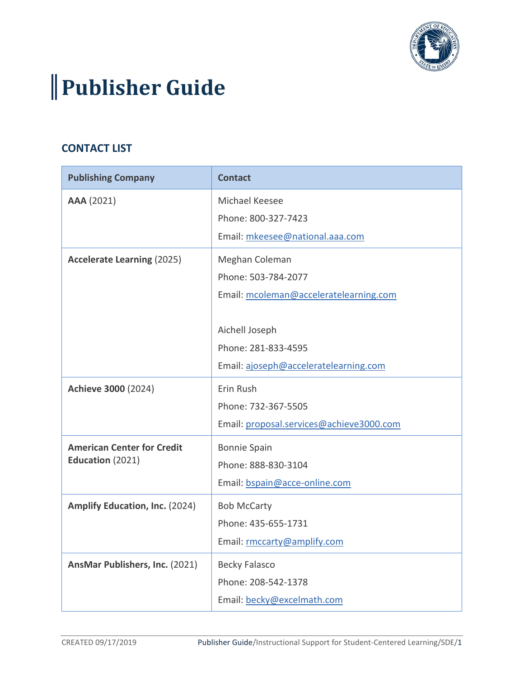

## **Publisher Guide**

## **CONTACT LIST**

| <b>Publishing Company</b>         | <b>Contact</b>                           |
|-----------------------------------|------------------------------------------|
| AAA (2021)                        | Michael Keesee                           |
|                                   | Phone: 800-327-7423                      |
|                                   | Email: mkeesee@national.aaa.com          |
| <b>Accelerate Learning (2025)</b> | Meghan Coleman                           |
|                                   | Phone: 503-784-2077                      |
|                                   | Email: mcoleman@acceleratelearning.com   |
|                                   |                                          |
|                                   | Aichell Joseph                           |
|                                   | Phone: 281-833-4595                      |
|                                   | Email: ajoseph@acceleratelearning.com    |
| Achieve 3000 (2024)               | Erin Rush                                |
|                                   | Phone: 732-367-5505                      |
|                                   | Email: proposal.services@achieve3000.com |
| <b>American Center for Credit</b> | <b>Bonnie Spain</b>                      |
| Education (2021)                  | Phone: 888-830-3104                      |
|                                   | Email: bspain@acce-online.com            |
| Amplify Education, Inc. (2024)    | <b>Bob McCarty</b>                       |
|                                   | Phone: 435-655-1731                      |
|                                   | Email: rmccarty@amplify.com              |
| AnsMar Publishers, Inc. (2021)    | <b>Becky Falasco</b>                     |
|                                   | Phone: 208-542-1378                      |
|                                   | Email: becky@excelmath.com               |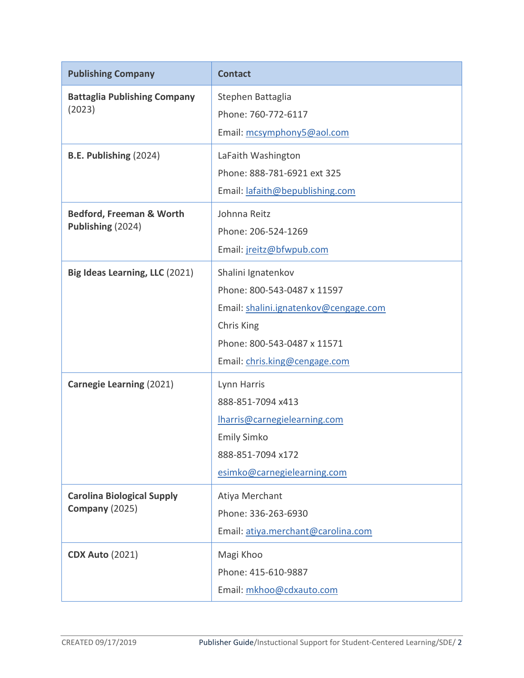| <b>Publishing Company</b>                                  | <b>Contact</b>                                                                                                                                                           |
|------------------------------------------------------------|--------------------------------------------------------------------------------------------------------------------------------------------------------------------------|
| <b>Battaglia Publishing Company</b><br>(2023)              | Stephen Battaglia<br>Phone: 760-772-6117<br>Email: mcsymphony5@aol.com                                                                                                   |
| B.E. Publishing (2024)                                     | LaFaith Washington<br>Phone: 888-781-6921 ext 325<br>Email: lafaith@bepublishing.com                                                                                     |
| <b>Bedford, Freeman &amp; Worth</b><br>Publishing (2024)   | Johnna Reitz<br>Phone: 206-524-1269<br>Email: jreitz@bfwpub.com                                                                                                          |
| Big Ideas Learning, LLC (2021)                             | Shalini Ignatenkov<br>Phone: 800-543-0487 x 11597<br>Email: shalini.ignatenkov@cengage.com<br>Chris King<br>Phone: 800-543-0487 x 11571<br>Email: chris.king@cengage.com |
| <b>Carnegie Learning (2021)</b>                            | Lynn Harris<br>888-851-7094 x413<br>Iharris@carnegielearning.com<br><b>Emily Simko</b><br>888-851-7094 x172<br>esimko@carnegielearning.com                               |
| <b>Carolina Biological Supply</b><br><b>Company (2025)</b> | Atiya Merchant<br>Phone: 336-263-6930<br>Email: atiya.merchant@carolina.com                                                                                              |
| <b>CDX Auto (2021)</b>                                     | Magi Khoo<br>Phone: 415-610-9887<br>Email: mkhoo@cdxauto.com                                                                                                             |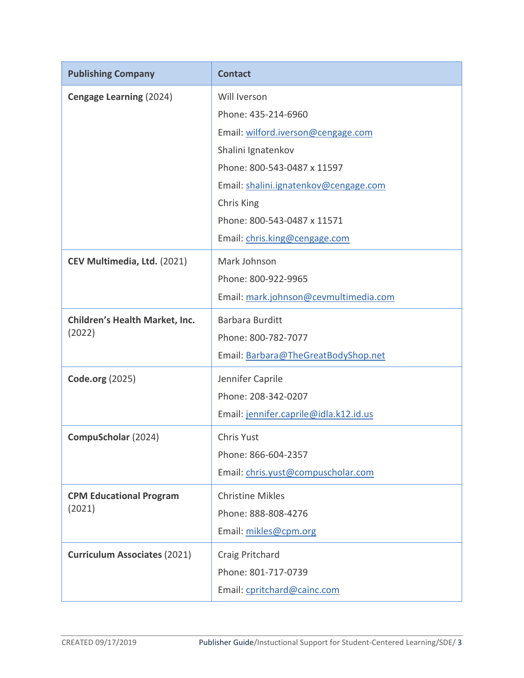| <b>Publishing Company</b>             | <b>Contact</b>                         |
|---------------------------------------|----------------------------------------|
| Cengage Learning (2024)               | Will Iverson                           |
|                                       | Phone: 435-214-6960                    |
|                                       | Email: wilford.iverson@cengage.com     |
|                                       | Shalini Ignatenkov                     |
|                                       | Phone: 800-543-0487 x 11597            |
|                                       | Email: shalini.ignatenkov@cengage.com  |
|                                       | Chris King                             |
|                                       | Phone: 800-543-0487 x 11571            |
|                                       | Email: chris.king@cengage.com          |
| CEV Multimedia, Ltd. (2021)           | Mark Johnson                           |
|                                       | Phone: 800-922-9965                    |
|                                       | Email: mark.johnson@cevmultimedia.com  |
| <b>Children's Health Market, Inc.</b> | <b>Barbara Burditt</b>                 |
| (2022)                                | Phone: 800-782-7077                    |
|                                       | Email: Barbara@TheGreatBodyShop.net    |
| <b>Code.org (2025)</b>                | Jennifer Caprile                       |
|                                       | Phone: 208-342-0207                    |
|                                       | Email: jennifer.caprile@idla.k12.id.us |
| CompuScholar (2024)                   | Chris Yust                             |
|                                       | Phone: 866-604-2357                    |
|                                       | Email: chris.yust@compuscholar.com     |
| <b>CPM Educational Program</b>        | <b>Christine Mikles</b>                |
| (2021)                                | Phone: 888-808-4276                    |
|                                       | Email: mikles@cpm.org                  |
| <b>Curriculum Associates (2021)</b>   | Craig Pritchard                        |
|                                       | Phone: 801-717-0739                    |
|                                       | Email: cpritchard@cainc.com            |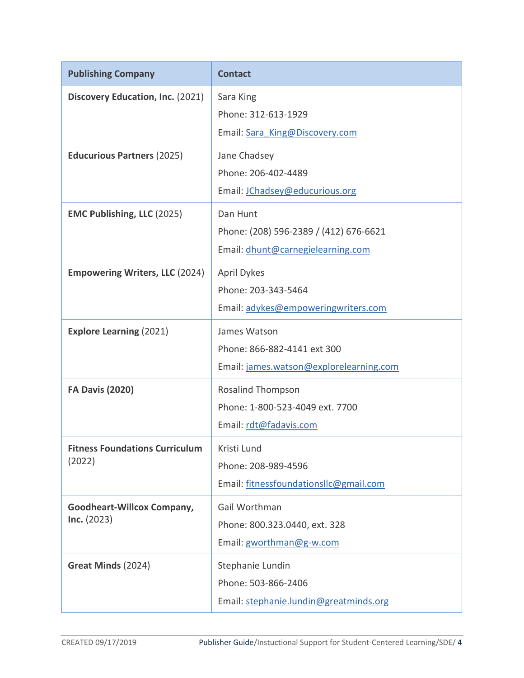| <b>Publishing Company</b>                        | <b>Contact</b>                                                                          |
|--------------------------------------------------|-----------------------------------------------------------------------------------------|
| Discovery Education, Inc. (2021)                 | Sara King<br>Phone: 312-613-1929<br>Email: Sara King@Discovery.com                      |
| <b>Educurious Partners (2025)</b>                | Jane Chadsey<br>Phone: 206-402-4489<br>Email: JChadsey@educurious.org                   |
| <b>EMC Publishing, LLC (2025)</b>                | Dan Hunt<br>Phone: (208) 596-2389 / (412) 676-6621<br>Email: dhunt@carnegielearning.com |
| <b>Empowering Writers, LLC (2024)</b>            | <b>April Dykes</b><br>Phone: 203-343-5464<br>Email: adykes@empoweringwriters.com        |
| <b>Explore Learning (2021)</b>                   | James Watson<br>Phone: 866-882-4141 ext 300<br>Email: james.watson@explorelearning.com  |
| <b>FA Davis (2020)</b>                           | <b>Rosalind Thompson</b><br>Phone: 1-800-523-4049 ext. 7700<br>Email: rdt@fadavis.com   |
| <b>Fitness Foundations Curriculum</b><br>(2022)  | Kristi Lund<br>Phone: 208-989-4596<br>Email: fitnessfoundationsllc@gmail.com            |
| <b>Goodheart-Willcox Company,</b><br>Inc. (2023) | Gail Worthman<br>Phone: 800.323.0440, ext. 328<br>Email: gworthman@g-w.com              |
| Great Minds (2024)                               | Stephanie Lundin<br>Phone: 503-866-2406<br>Email: stephanie.lundin@greatminds.org       |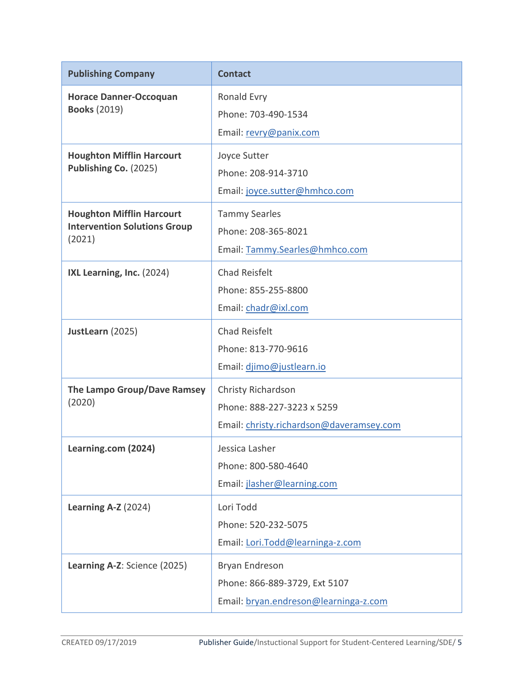| <b>Publishing Company</b>                                                         | <b>Contact</b>                                                                               |
|-----------------------------------------------------------------------------------|----------------------------------------------------------------------------------------------|
| <b>Horace Danner-Occoquan</b><br><b>Books (2019)</b>                              | Ronald Evry<br>Phone: 703-490-1534<br>Email: revry@panix.com                                 |
| <b>Houghton Mifflin Harcourt</b><br>Publishing Co. (2025)                         | Joyce Sutter<br>Phone: 208-914-3710<br>Email: joyce.sutter@hmhco.com                         |
| <b>Houghton Mifflin Harcourt</b><br><b>Intervention Solutions Group</b><br>(2021) | <b>Tammy Searles</b><br>Phone: 208-365-8021<br>Email: Tammy.Searles@hmhco.com                |
| IXL Learning, Inc. (2024)                                                         | <b>Chad Reisfelt</b><br>Phone: 855-255-8800<br>Email: chadr@ixl.com                          |
| JustLearn (2025)                                                                  | <b>Chad Reisfelt</b><br>Phone: 813-770-9616<br>Email: djimo@justlearn.io                     |
| The Lampo Group/Dave Ramsey<br>(2020)                                             | Christy Richardson<br>Phone: 888-227-3223 x 5259<br>Email: christy.richardson@daveramsey.com |
| Learning.com (2024)                                                               | Jessica Lasher<br>Phone: 800-580-4640<br>Email: jlasher@learning.com                         |
| Learning A-Z $(2024)$                                                             | Lori Todd<br>Phone: 520-232-5075<br>Email: Lori.Todd@learninga-z.com                         |
| Learning A-Z: Science (2025)                                                      | Bryan Endreson<br>Phone: 866-889-3729, Ext 5107<br>Email: bryan.endreson@learninga-z.com     |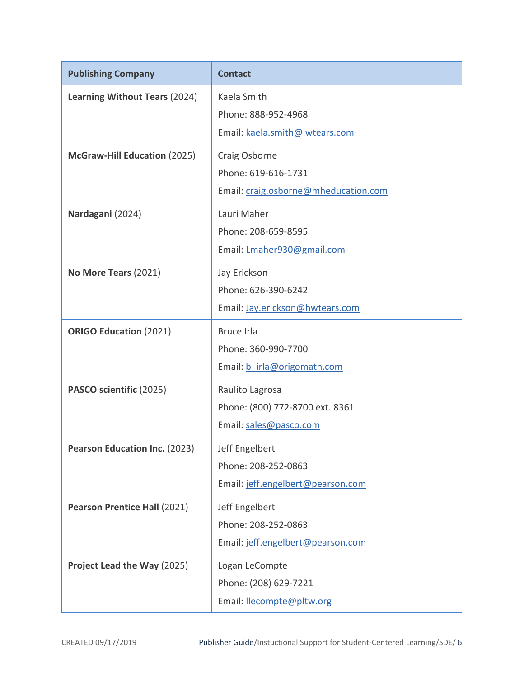| <b>Publishing Company</b>            | <b>Contact</b>                                                               |
|--------------------------------------|------------------------------------------------------------------------------|
| <b>Learning Without Tears (2024)</b> | Kaela Smith<br>Phone: 888-952-4968<br>Email: kaela.smith@lwtears.com         |
| <b>McGraw-Hill Education (2025)</b>  | Craig Osborne<br>Phone: 619-616-1731<br>Email: craig.osborne@mheducation.com |
| Nardagani (2024)                     | Lauri Maher<br>Phone: 208-659-8595<br>Email: Lmaher930@gmail.com             |
| No More Tears (2021)                 | Jay Erickson<br>Phone: 626-390-6242<br>Email: Jay.erickson@hwtears.com       |
| <b>ORIGO Education (2021)</b>        | <b>Bruce Irla</b><br>Phone: 360-990-7700<br>Email: b irla@origomath.com      |
| PASCO scientific (2025)              | Raulito Lagrosa<br>Phone: (800) 772-8700 ext. 8361<br>Email: sales@pasco.com |
| <b>Pearson Education Inc. (2023)</b> | Jeff Engelbert<br>Phone: 208-252-0863<br>Email: jeff.engelbert@pearson.com   |
| <b>Pearson Prentice Hall (2021)</b>  | Jeff Engelbert<br>Phone: 208-252-0863<br>Email: jeff.engelbert@pearson.com   |
| Project Lead the Way (2025)          | Logan LeCompte<br>Phone: (208) 629-7221<br>Email: <b>llecompte@pltw.org</b>  |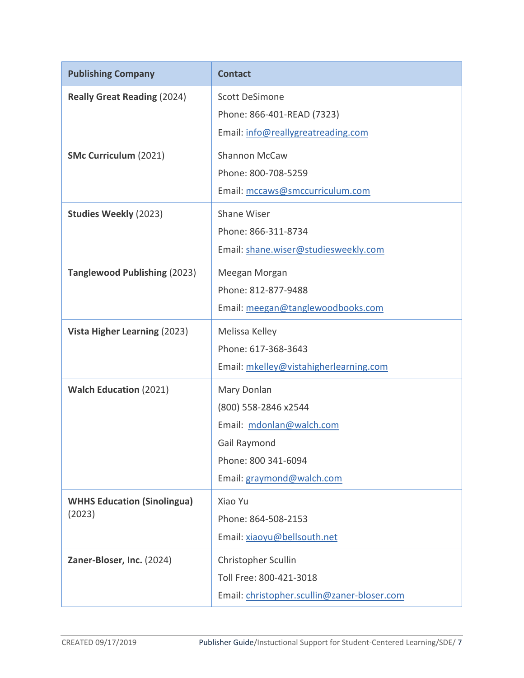| <b>Publishing Company</b>                    | <b>Contact</b>                                                                                                                      |
|----------------------------------------------|-------------------------------------------------------------------------------------------------------------------------------------|
| <b>Really Great Reading (2024)</b>           | <b>Scott DeSimone</b><br>Phone: 866-401-READ (7323)<br>Email: info@reallygreatreading.com                                           |
| <b>SMc Curriculum (2021)</b>                 | Shannon McCaw<br>Phone: 800-708-5259<br>Email: mccaws@smccurriculum.com                                                             |
| <b>Studies Weekly (2023)</b>                 | <b>Shane Wiser</b><br>Phone: 866-311-8734<br>Email: shane.wiser@studiesweekly.com                                                   |
| <b>Tanglewood Publishing (2023)</b>          | Meegan Morgan<br>Phone: 812-877-9488<br>Email: meegan@tanglewoodbooks.com                                                           |
| Vista Higher Learning (2023)                 | Melissa Kelley<br>Phone: 617-368-3643<br>Email: mkelley@vistahigherlearning.com                                                     |
| <b>Walch Education (2021)</b>                | Mary Donlan<br>(800) 558-2846 x2544<br>Email: mdonlan@walch.com<br>Gail Raymond<br>Phone: 800 341-6094<br>Email: graymond@walch.com |
| <b>WHHS Education (Sinolingua)</b><br>(2023) | Xiao Yu<br>Phone: 864-508-2153<br>Email: xiaoyu@bellsouth.net                                                                       |
| Zaner-Bloser, Inc. (2024)                    | Christopher Scullin<br>Toll Free: 800-421-3018<br>Email: christopher.scullin@zaner-bloser.com                                       |